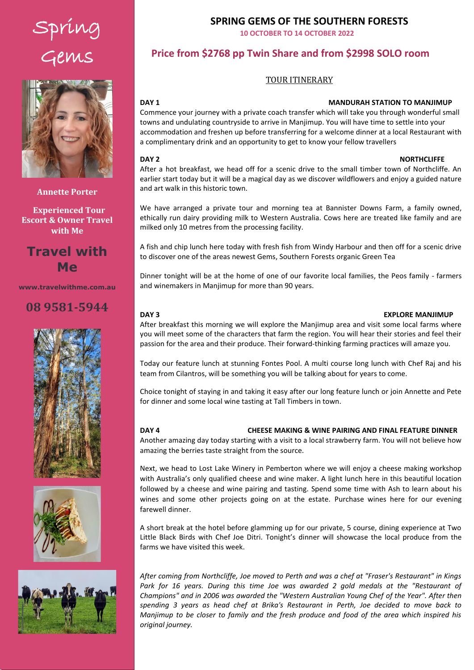# Spring Gems



**Annette Porter**

 **Experienced Tour Escort & Owner Travel with Me**

# **Travel with Me**

**www.travelwithme.com.au**

# **08 9581-5944**







## **SPRING GEMS OF THE SOUTHERN FORESTS**

**10 OCTOBER TO 14 OCTOBER 2022** 

# **Price from \$2768 pp Twin Share and from \$2998 SOLO room**

### TOUR ITINERARY

# Click and enter a paragraph summary of the tour.

### **DAY 1 MANDURAH STATION TO MANJIMUP**

accommodation and freshen up before transferring for a welcome dinner at a local Restaurant with a complimentary drink and an opportunity to get to know your fellow travellers Commence your journey with a private coach transfer which will take you through wonderful small towns and undulating countryside to arrive in Manjimup. You will have time to settle into your

### **DAY 2** NORTHCLIFFE

After a hot breakfast, we head off for a scenic drive to the small timber town of Northcliffe. An earlier start today but it will be a magical day as we discover wildflowers and enjoy a guided nature and art walk in this historic town.

We have arranged a private tour and morning tea at Bannister Downs Farm, a family owned, ethically run dairy providing milk to Western Australia. Cows here are treated like family and are milked only 10 metres from the processing facility.

A fish and chip lunch here today with fresh fish from Windy Harbour and then off for a scenic drive to discover one of the areas newest Gems, Southern Forests organic Green Tea

Dinner tonight will be at the home of one of our favorite local families, the Peos family - farmers and winemakers in Manjimup for more than 90 years.

### **DAY 3 EXPLORE MANJIMUP**

After breakfast this morning we will explore the Manjimup area and visit some local farms where you will meet some of the characters that farm the region. You will hear their stories and feel their passion for the area and their produce. Their forward-thinking farming practices will amaze you.

Today our feature lunch at stunning Fontes Pool. A multi course long lunch with Chef Raj and his team from Cilantros, will be something you will be talking about for years to come.

Choice tonight of staying in and taking it easy after our long feature lunch or join Annette and Pete for dinner and some local wine tasting at Tall Timbers in town.

### **DAY 4 CHEESE MAKING & WINE PAIRING AND FINAL FEATURE DINNER** Another amazing day today starting with a visit to a local strawberry farm. You will not believe how amazing the berries taste straight from the source.

Next, we head to Lost Lake Winery in Pemberton where we will enjoy a cheese making workshop with Australia's only qualified cheese and wine maker. A light lunch here in this beautiful location followed by a cheese and wine pairing and tasting. Spend some time with Ash to learn about his wines and some other projects going on at the estate. Purchase wines here for our evening farewell dinner.

A short break at the hotel before glamming up for our private, 5 course, dining experience at Two Little Black Birds with Chef Joe Ditri. Tonight's dinner will showcase the local produce from the farms we have visited this week.

*After coming from Northcliffe, Joe moved to Perth and was a chef at "Fraser's Restaurant" in Kings*  Park for 16 years. During this time Joe was awarded 2 gold medals at the "Restaurant of *Champions" and in 2006 was awarded the "Western Australian Young Chef of the Year". After then spending 3 years as head chef at Brika's Restaurant in Perth, Joe decided to move back to Manjimup to be closer to family and the fresh produce and food of the area which inspired his original journey.*